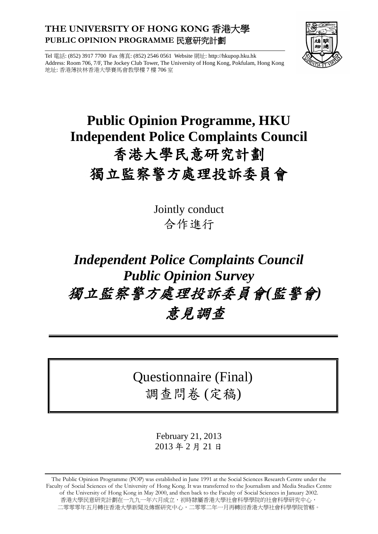### **THE UNIVERSITY OF HONG KONG** 香港大學 **PUBLIC OPINION PROGRAMME** 民意研究計劃



Tel 電話: (852) 3917 7700 Fax 傳真: (852) 2546 0561 Website 網址: http://hkupop.hku.hk Address: Room 706, 7/F, The Jockey Club Tower, The University of Hong Kong, Pokfulam, Hong Kong 地址: 香港薄扶林香港大學賽馬會教學樓 7 樓 706 室

## **Public Opinion Programme, HKU Independent Police Complaints Council** 香港大學民意研究計劃 獨立監察警方處理投訴委員會

Jointly conduct 合作進行

# *Independent Police Complaints Council Public Opinion Survey* 獨立監察警方處理投訴委員會*(*監警會*)* 意見調查

## Questionnaire (Final) 調查問卷 (定稿)

February 21, 2013 2013 年 2 月 21 日

The Public Opinion Programme (POP) was established in June 1991 at the Social Sciences Research Centre under the Faculty of Social Sciences of the University of Hong Kong. It was transferred to the Journalism and Media Studies Centre of the University of Hong Kong in May 2000, and then back to the Faculty of Social Sciences in January 2002. 香港大學民意研究計劃在一九九一年六月成立,初時隸屬香港大學社會科學學院的社會科學研究中心, 二零零零年五月轉往香港大學新聞及傳媒研究中心,二零零二年一月再轉回香港大學社會科學學院管轄。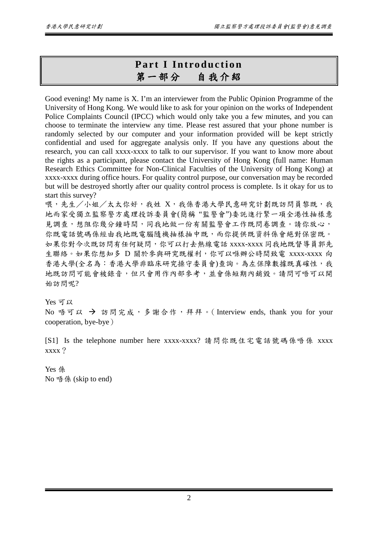## **Part I Introduction** 第一部分自我介紹

Good evening! My name is X. I'm an interviewer from the Public Opinion Programme of the University of Hong Kong. We would like to ask for your opinion on the works of Independent Police Complaints Council (IPCC) which would only take you a few minutes, and you can choose to terminate the interview any time. Please rest assured that your phone number is randomly selected by our computer and your information provided will be kept strictly confidential and used for aggregate analysis only. If you have any questions about the research, you can call xxxx-xxxx to talk to our supervisor. If you want to know more about the rights as a participant, please contact the University of Hong Kong (full name: Human Research Ethics Committee for Non-Clinical Faculties of the University of Hong Kong) at xxxx-xxxx during office hours. For quality control purpose, our conversation may be recorded but will be destroyed shortly after our quality control process is complete. Is it okay for us to start this survey?

喂,先生/小姐/太太你好,我姓 X,我係香港大學民意研究計劃既訪問員黎既,我 地而家受獨立監察警方處理投訴委員會(簡稱 "監警會")委託進行緊一項全港性抽樣意 見調查,想阻你幾分鐘時間,同我地做一份有關監警會工作既問卷調查。請你放心, 你既電話號碼係經由我地既電腦隨機抽樣抽中既,而你提供既資料係會絕對保密既。 如果你對今次既訪問有任何疑問,你可以打去熱線電話 xxxx-xxxx 同我地既督導員郭先 生聯絡。如果你想知多 D 關於參與研究既權利,你可以喺辦公時間致電 xxxx-xxxx 向 香港大學(全名為:香港大學非臨床研究操守委員會)查詢。為左保障數據既真確性,我 地既訪問可能會被錄音,但只會用作內部參考,並會係短期內銷毀。請問可唔可以開 始訪問呢?

Yes 可以 No 唔可以 → 訪問完成,多謝合作,拜拜。(Interview ends, thank you for your cooperation, bye-bye)

[S1] Is the telephone number here xxxx-xxxx? 請問你既住宅電話號碼係唔係 xxxx xxxx?

Yes 係 No 唔係 (skip to end)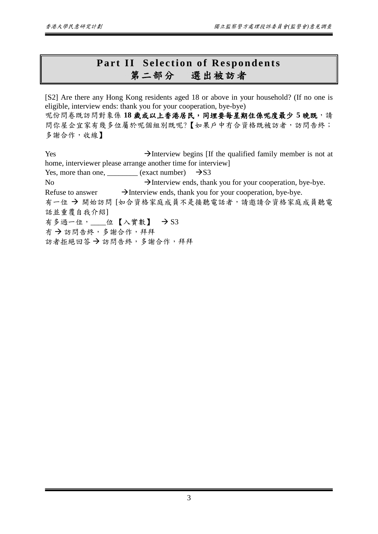## **Part II Selection of Respondents** 第二部分選出被訪者

[S2] Are there any Hong Kong residents aged 18 or above in your household? (If no one is eligible, interview ends: thank you for your cooperation, bye-bye) 呢份問卷既訪問對象係18歲或以上香港居民,同埋要每星期住係呢度最少 5 晚既,請 問你屋企宜家有幾多位屬於呢個組別既呢?【如果戶中冇合資格既被訪者,訪問告終; 多謝合作,收線】

 $\rightarrow$  Interview begins [If the qualified family member is not at home, interviewer please arrange another time for interview] Yes, more than one, \_\_\_\_\_\_\_\_\_ (exact number)  $\rightarrow$  S3 No  $\rightarrow$  Interview ends, thank you for your cooperation, bye-bye. Refuse to answer  $\rightarrow$  Interview ends, thank you for your cooperation, bye-bye. 有一位→開始訪問 [如合資格家庭成員不是接聽電話者,請邀請合資格家庭成員聽電 話並重覆自我介紹] 有多過一位, \_\_\_位【入實數】 → S3 冇 → 訪問告終,多謝合作,拜拜 訪者拒絕回答→訪問告終,多謝合作,拜拜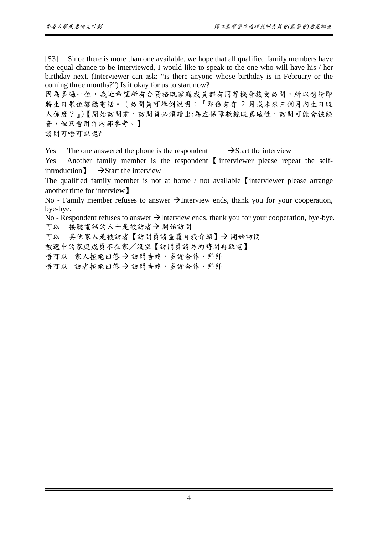[S3] Since there is more than one available, we hope that all qualified family members have the equal chance to be interviewed, I would like to speak to the one who will have his / her birthday next. (Interviewer can ask: "is there anyone whose birthday is in February or the coming three months?") Is it okay for us to start now?

因為多過一位,我地希望所有合資格既家庭成員都有同等機會接受訪問,所以想請即 將生日果位黎聽電話。(訪問員可舉例說明:『即係有冇 2 月或未來三個月內生日既 人係度?』)【開始訪問前,訪問員必須讀出:為左保障數據既真確性,訪問可能會被錄 音,但只會用作內部參考。】

請問可唔可以呢?

Yes – The one answered the phone is the respondent  $\rightarrow$  Start the interview

Yes – Another family member is the respondent 【 interviewer please repeat the selfintroduction  $\mathbf{I} \rightarrow \mathbf{Start}$  the interview

The qualified family member is not at home / not available I interviewer please arrange another time for interview】

No - Family member refuses to answer  $\rightarrow$  Interview ends, thank you for your cooperation, bye-bye.

No - Respondent refuses to answer  $\rightarrow$  Interview ends, thank you for your cooperation, bye-bye. 可以 - 接聽電話的人士是被訪者→開始訪問

可以 - 其他家人是被訪者【訪問員請重覆自我介紹】→開始訪問

被選中的家庭成員不在家/沒空【訪問員請另約時間再致電】

唔可以 - 家人拒絕回答 → 訪問告終, 多謝合作, 拜拜

唔可以 - 訪者拒絕回答 → 訪問告終, 多謝合作, 拜拜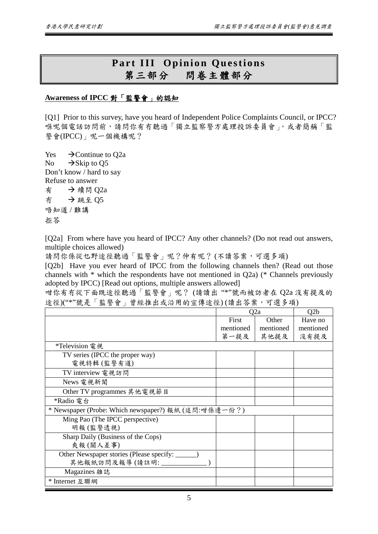#### **Part III Opinion Questions** 第三部分問卷主體部分

#### **Awareness of IPCC** 對「監警會」的認知

[Q1] Prior to this survey, have you heard of Independent Police Complaints Council, or IPCC? 喺呢個電話訪問前,請問你有冇聽過「獨立監察警方處理投訴委員會」,或者簡稱「監 警會(IPCC)」呢一個機構呢?

Yes  $\rightarrow$  Continue to O2a No  $\rightarrow$  Skip to Q5 Don't know / hard to say Refuse to answer 有 →續問 Q2a 冇 跳至 Q5 唔知道 / 難講 拒答

[Q2a] From where have you heard of IPCC? Any other channels? (Do not read out answers, multiple choices allowed)

請問你係從乜野途徑聽過「監警會」呢?仲有呢? (不讀答案,可選多項)

[Q2b] Have you ever heard of IPCC from the following channels then? (Read out those channels with \* which the respondents have not mentioned in Q2a) (\* Channels previously adopted by IPCC) [Read out options, multiple answers allowed]

咁你有冇從下面既途徑聽過「監警會」呢? (請讀出 "\*"號而被訪者在 Q2a 沒有提及的 途徑)("\*"號是「監警會」曾經推出或沿用的宣傳途徑) (讀出答案,可選多項)

|                                                      | Q2a       |           | Q2b       |
|------------------------------------------------------|-----------|-----------|-----------|
|                                                      | First     | Other     | Have no   |
|                                                      | mentioned | mentioned | mentioned |
|                                                      | 第一提及      | 其他提及      | 沒有提及      |
| *Television 電視                                       |           |           |           |
| TV series (IPCC the proper way)                      |           |           |           |
| 電視特輯(監警有道)                                           |           |           |           |
| TV interview 電視訪問                                    |           |           |           |
| News 電視新聞                                            |           |           |           |
| Other TV programmes 其他電視節目                           |           |           |           |
| *Radio 電台                                            |           |           |           |
| * Newspaper (Probe: Which newspaper?) 報紙 (追問:咁係邊一份?) |           |           |           |
| Ming Pao (The IPCC perspective)                      |           |           |           |
| 明報(監警透視)                                             |           |           |           |
| Sharp Daily (Business of the Cops)                   |           |           |           |
| 爽報(關人差事)                                             |           |           |           |
| Other Newspaper stories (Please specify: _____       |           |           |           |
| 其他報紙訪問及報導(請註明:____                                   |           |           |           |
| Magazines 雜誌                                         |           |           |           |
| * Internet 互聯網                                       |           |           |           |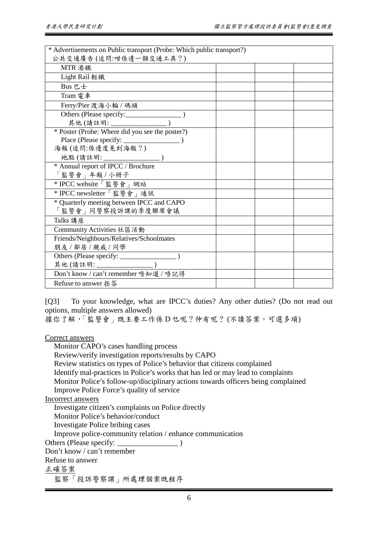| * Advertisements on Public transport (Probe: Which public transport?)<br>公共交通廣告(追問:咁係邊一類交通工具?) |  |  |
|------------------------------------------------------------------------------------------------|--|--|
| MTR 港鐵                                                                                         |  |  |
| <b>Light Rail</b> 輕鐵                                                                           |  |  |
| Bus 巴士                                                                                         |  |  |
| Tram 電車                                                                                        |  |  |
| Ferry/Pier 渡海小輪 / 碼頭                                                                           |  |  |
| Others (Please specify: _______________                                                        |  |  |
|                                                                                                |  |  |
|                                                                                                |  |  |
|                                                                                                |  |  |
| 海報(追問:係邊度見到海報?)                                                                                |  |  |
| 地點(請註明: _________________)                                                                     |  |  |
| * Annual report of IPCC / Brochure                                                             |  |  |
| 「監警會」年報 / 小冊子                                                                                  |  |  |
| * IPCC website「監警會」網站                                                                          |  |  |
| * IPCC newsletter「監警會」通訊                                                                       |  |  |
| * Quarterly meeting between IPCC and CAPO                                                      |  |  |
| 「監警會」同警察投訴課的季度聯席會議                                                                             |  |  |
| Talks 講座                                                                                       |  |  |
| Community Activities 社區活動                                                                      |  |  |
| Friends/Neighbours/Relatives/Schoolmates                                                       |  |  |
| 朋友 / 鄰居 / 親戚 / 同學                                                                              |  |  |
|                                                                                                |  |  |
| 其他(請註明: ________________)<br>Don't know / can't remember 唔知道 / 唔記得                             |  |  |
|                                                                                                |  |  |
| Refuse to answer 拒答                                                                            |  |  |

[Q3] To your knowledge, what are IPCC's duties? Any other duties? (Do not read out options, multiple answers allowed)

據你了解,「監警會」既主要工作係D 乜呢?仲有呢? (不讀答案,可選多項)

Correct answers

Monitor CAPO's cases handling process

Review/verify investigation reports/results by CAPO

Review statistics on types of Police's behavior that citizens complained

Identify mal-practices in Police's works that has led or may lead to complaints

Monitor Police's follow-up/disciplinary actions towards officers being complained

Improve Police Force's quality of service

Incorrect answers

Investigate citizen's complaints on Police directly

Monitor Police's behavior/conduct

Investigate Police bribing cases

Improve police-community relation / enhance communication

Others (Please specify: \_\_\_\_\_\_\_\_\_\_\_\_\_\_\_\_ )

Don't know / can't remember

Refuse to answer

正確答案

監察「投訴警察課」所處理個案既程序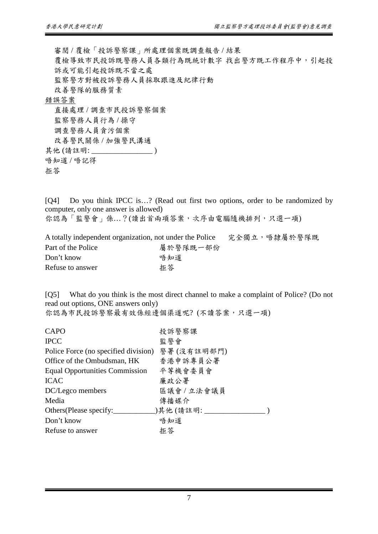審閱 / 覆檢「投訴警察課」所處理個案既調查報告 / 結果 覆檢導致市民投訴既警務人員各類行為既統計數字 找出警方既工作程序中,引起投 訴或可能引起投訴既不當之處 監察警方對被投訴警務人員採取跟進及紀律行動 改善警隊的服務質素 錯誤答案 直接處理 / 調查市民投訴警察個案 監察警務人員行為 / 操守 調查警務人員貪污個案 改善警民關係 / 加強警民溝通 其他 (請註明: \_\_\_\_\_\_\_\_\_\_\_\_\_\_\_\_ ) 唔知道 / 唔記得

拒答

[Q4] Do you think IPCC is...? (Read out first two options, order to be randomized by computer, only one answer is allowed)

你認為「監警會」係…?(讀出首兩項答案,次序由電腦隨機排列,只選一項)

| A totally independent organization, not under the Police |          | 完全獨立,唔隸屬於警隊既 |  |
|----------------------------------------------------------|----------|--------------|--|
| Part of the Police                                       | 屬於警隊既一部份 |              |  |
| Don't know                                               | 唔知道      |              |  |
| Refuse to answer                                         | 拒答       |              |  |

[Q5] What do you think is the most direct channel to make a complaint of Police? (Do not read out options, ONE answers only) 你認為市民投訴警察最有效係經邊個渠道呢? (不讀答案,只選一項)

| CAPO                                 | 投訴警察課        |
|--------------------------------------|--------------|
| <b>IPCC</b>                          | 監警會          |
| Police Force (no specified division) | 警署(沒有註明部門)   |
| Office of the Ombudsman, HK          | 香港申訴專員公署     |
| Equal Opportunities Commission       | 平等機會委員會      |
| <b>ICAC</b>                          | 廉政公署         |
| DC/Legco members                     | 區議會 / 立法會議員  |
| Media                                | 傳播媒介         |
| Others (Please specify:              | )其他(請註明:____ |
| Don't know                           | 唔知道          |
| Refuse to answer                     | 拒答           |

7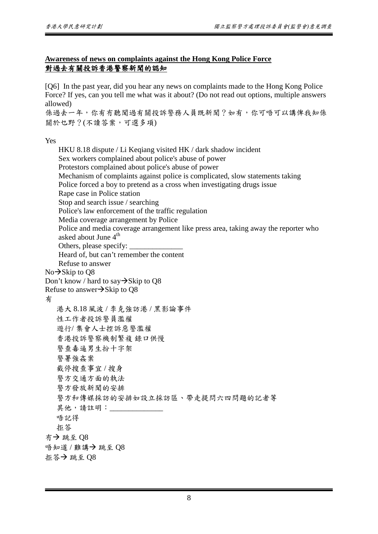#### **Awareness of news on complaints against the Hong Kong Police Force** 對過去有關投訴香港警察新聞的認知

[Q6] In the past year, did you hear any news on complaints made to the Hong Kong Police Force? If yes, can you tell me what was it about? (Do not read out options, multiple answers allowed)

係過去一年,你有有聽聞過有關投訴警務人員既新聞?如有,你可唔可以講俾我知係 關於乜野?(不讀答案,可選多項)

Yes

有

HKU 8.18 dispute / Li Keqiang visited HK / dark shadow incident Sex workers complained about police's abuse of power Protestors complained about police's abuse of power Mechanism of complaints against police is complicated, slow statements taking Police forced a boy to pretend as a cross when investigating drugs issue Rape case in Police station Stop and search issue / searching Police's law enforcement of the traffic regulation Media coverage arrangement by Police Police and media coverage arrangement like press area, taking away the reporter who asked about June 4<sup>th</sup> Others, please specify: Heard of, but can't remember the content Refuse to answer  $No \rightarrow$ Skip to Q8 Don't know / hard to say $\rightarrow$ Skip to Q8 Refuse to answer $\rightarrow$ Skip to Q8 港大 8.18 風波 / 李克強訪港 / 黑影論事件 性工作者投訴警員濫權 遊行/ 集會人士控訴惡警濫權 香港投訴警察機制繁複 錄口供慢 警查毒逼男生扮十字架 警署強姦案 截停搜查事宜 / 搜身 警方交通方面的執法 警方發放新聞的安排 警方和傳媒採訪的安排如設立採訪區、帶走提問六四問題的記者等 其他,請註明:\_\_\_\_\_\_\_\_\_ 唔記得 拒答 冇 跳至 Q8 唔知道 / 難講→ 跳至 08 拒答→跳至  $Q8$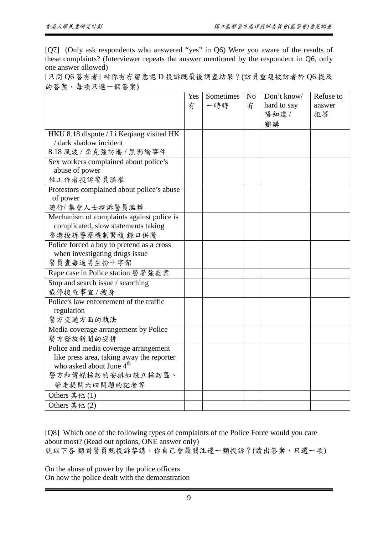[Q7] (Only ask respondents who answered "yes" in Q6) Were you aware of the results of these complaints? (Interviewer repeats the answer mentioned by the respondent in Q6, only one answer allowed)

| [只問 Q6答有者] 咁你有冇留意呢 D 投訴既最後調查結果?(訪員重複被訪者於 Q6 提及 |  |
|------------------------------------------------|--|
| 的答案,每項只選一個答案)                                  |  |

|                                            | Yes<br>有 | Sometimes<br>一時時 | N <sub>o</sub><br>冇 | Don't know/<br>hard to say<br>唔知道 /<br>難講 | Refuse to<br>answer<br>拒答 |
|--------------------------------------------|----------|------------------|---------------------|-------------------------------------------|---------------------------|
| HKU 8.18 dispute / Li Keqiang visited HK   |          |                  |                     |                                           |                           |
| / dark shadow incident                     |          |                  |                     |                                           |                           |
| 8.18 風波 / 李克強訪港 / 黑影論事件                    |          |                  |                     |                                           |                           |
| Sex workers complained about police's      |          |                  |                     |                                           |                           |
| abuse of power                             |          |                  |                     |                                           |                           |
| 性工作者投訴警員濫權                                 |          |                  |                     |                                           |                           |
| Protestors complained about police's abuse |          |                  |                     |                                           |                           |
| of power                                   |          |                  |                     |                                           |                           |
| 遊行/集會人士控訴警員濫權                              |          |                  |                     |                                           |                           |
| Mechanism of complaints against police is  |          |                  |                     |                                           |                           |
| complicated, slow statements taking        |          |                  |                     |                                           |                           |
| 香港投訴警察機制繁複錄口供慢                             |          |                  |                     |                                           |                           |
| Police forced a boy to pretend as a cross  |          |                  |                     |                                           |                           |
| when investigating drugs issue             |          |                  |                     |                                           |                           |
| 警員查毒逼男生扮十字架                                |          |                  |                     |                                           |                           |
| Rape case in Police station 警署強姦案          |          |                  |                     |                                           |                           |
| Stop and search issue / searching          |          |                  |                     |                                           |                           |
| 截停搜查事宜/搜身                                  |          |                  |                     |                                           |                           |
| Police's law enforcement of the traffic    |          |                  |                     |                                           |                           |
| regulation                                 |          |                  |                     |                                           |                           |
| 警方交通方面的執法                                  |          |                  |                     |                                           |                           |
| Media coverage arrangement by Police       |          |                  |                     |                                           |                           |
| 警方發放新聞的安排                                  |          |                  |                     |                                           |                           |
| Police and media coverage arrangement      |          |                  |                     |                                           |                           |
| like press area, taking away the reporter  |          |                  |                     |                                           |                           |
| who asked about June 4 <sup>th</sup>       |          |                  |                     |                                           |                           |
| 警方和傳媒採訪的安排如設立採訪區、                          |          |                  |                     |                                           |                           |
| 帶走提問六四問題的記者等                               |          |                  |                     |                                           |                           |
| Others 其他 $(1)$                            |          |                  |                     |                                           |                           |
| Others 其他 (2)                              |          |                  |                     |                                           |                           |

[Q8] Which one of the following types of complaints of the Police Force would you care about most? (Read out options, ONE answer only) 就以下各類對警員既投訴黎講,你自己會最關注邊一類投訴?(讀出答案,只選一項)

On the abuse of power by the police officers On how the police dealt with the demonstration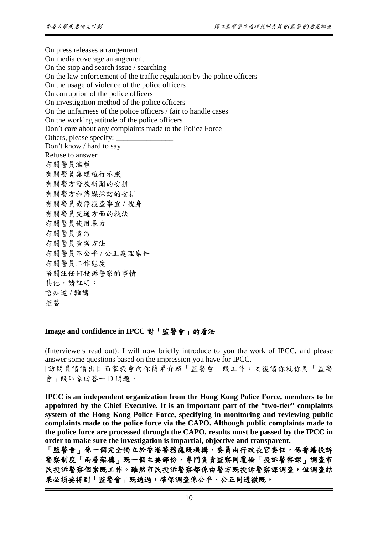On press releases arrangement On media coverage arrangement On the stop and search issue / searching On the law enforcement of the traffic regulation by the police officers On the usage of violence of the police officers On corruption of the police officers On investigation method of the police officers On the unfairness of the police officers / fair to handle cases On the working attitude of the police officers Don't care about any complaints made to the Police Force Others, please specify: Don't know / hard to say Refuse to answer 有關警員濫權 有關警員處理遊行示威 有關警方發放新聞的安排 有關警方和傳媒採訪的安排 有關警員截停搜查事宜 / 搜身 有關警員交通方面的執法 有關警員使用暴力 有關警員貪污 有關警員查案方法 有關警員不公平 / 公正處理案件 有關警員工作態度 唔關注任何投訴警察的事情 其他,請註明: 唔知道 / 難講 拒答

#### **Image and confidence in IPCC** 對「監警會」的看法

(Interviewers read out): I will now briefly introduce to you the work of IPCC, and please answer some questions based on the impression you have for IPCC.

[訪問員請讀出]: 而家我會向你簡單介紹「監警會」既工作,之後請你就你對「監警 會」既印象回答一 D 問題。

**IPCC is an independent organization from the Hong Kong Police Force, members to be appointed by the Chief Executive. It is an important part of the "two-tier" complaints system of the Hong Kong Police Force, specifying in monitoring and reviewing public complaints made to the police force via the CAPO. Although public complaints made to the police force are processed through the CAPO, results must be passed by the IPCC in order to make sure the investigation is impartial, objective and transparent.**

「監警會」係一個完全獨立於香港警務處既機構,委員由行政長官委任,係香港投訴 警察制度「兩層架構」既一個主要部份,專門負責監察同覆檢「投訴警察課」調查市 民投訴警察個案既工作。雖然市民投訴警察都係由警方既投訴警察課調查,但調查結 果必須要得到「監警會」既通過,確保調查係公平、公正同透徹既。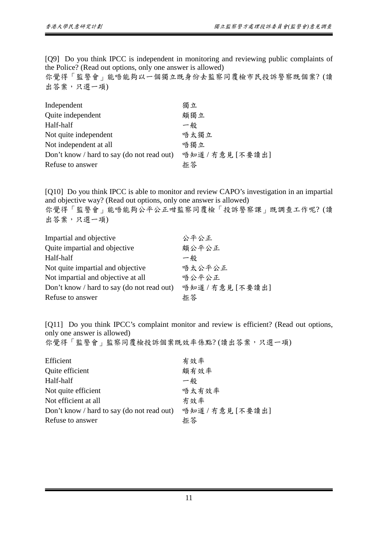[Q9] Do you think IPCC is independent in monitoring and reviewing public complaints of the Police? (Read out options, only one answer is allowed)

你覺得「監警會」能唔能夠以一個獨立既身份去監察同覆檢市民投訴警察既個案? (讀 出答案,只選一項)

| Independent                                | 獨立               |
|--------------------------------------------|------------------|
| Quite independent                          | 頗獨立              |
| Half-half                                  | 一般               |
| Not quite independent                      | 唔太獨立             |
| Not independent at all                     | 唔獨立              |
| Don't know / hard to say (do not read out) | 唔知道 / 冇意見 [不要讀出] |
| Refuse to answer                           | 拒答               |

[Q10] Do you think IPCC is able to monitor and review CAPO's investigation in an impartial and objective way? (Read out options, only one answer is allowed) 你覺得「監警會」能唔能夠公平公正咁監察同覆檢「投訴警察課」既調查工作呢? (讀

出答案,只選一項)

| Impartial and objective                    | 公平公正             |
|--------------------------------------------|------------------|
| Quite impartial and objective              | 頗公平公正            |
| Half-half                                  | 一般               |
| Not quite impartial and objective          | 唔太公平公正           |
| Not impartial and objective at all         | 唔公平公正            |
| Don't know / hard to say (do not read out) | 唔知道 / 冇意見 [不要讀出] |
| Refuse to answer                           | 拒答               |

[Q11] Do you think IPCC's complaint monitor and review is efficient? (Read out options, only one answer is allowed) 你覺得「監警會」監察同覆檢投訴個案既效率係點?(讀出答案,只選一項)

| Efficient                                  | 有效率              |
|--------------------------------------------|------------------|
| Quite efficient                            | 頗有效率             |
| Half-half                                  | 一般               |
| Not quite efficient                        | 唔太有效率            |
| Not efficient at all                       | 冇效率              |
| Don't know / hard to say (do not read out) | 唔知道 / 冇意見 [不要讀出] |
| Refuse to answer                           | 拒答               |
|                                            |                  |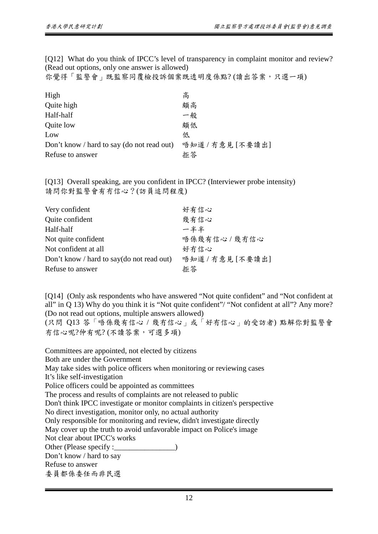[Q12] What do you think of IPCC's level of transparency in complaint monitor and review? (Read out options, only one answer is allowed)

你覺得「監警會」既監察同覆檢投訴個案既透明度係點? (讀出答案,只選一項)

| High                                       | 高                |
|--------------------------------------------|------------------|
| Quite high                                 | 頗高               |
| Half-half                                  | 一般               |
| Quite low                                  | 頗低               |
| Low                                        | 低                |
| Don't know / hard to say (do not read out) | 唔知道 / 冇意見 [不要讀出] |
| Refuse to answer                           | 拒答               |

[Q13] Overall speaking, are you confident in IPCC? (Interviewer probe intensity) 請問你對監警會有冇信心?(訪員追問程度)

| Very confident                            | 好有信心             |
|-------------------------------------------|------------------|
| Quite confident                           | 幾有信心             |
| Half-half                                 | 一半半              |
| Not quite confident                       | 唔係幾有信心 / 幾冇信心    |
| Not confident at all                      | 好冇信心             |
| Don't know / hard to say(do not read out) | 唔知道 / 冇意見 [不要讀出] |
| Refuse to answer                          | 拒答               |

[Q14] (Only ask respondents who have answered "Not quite confident" and "Not confident at all" in Q 13) Why do you think it is "Not quite confident"/ "Not confident at all"? Any more? (Do not read out options, multiple answers allowed)

(只問 Q13 答「唔係幾有信心 / 幾冇信心」或「好冇信心」的受訪者) 點解你對監警會 冇信心呢?仲有呢? (不讀答案,可選多項)

Committees are appointed, not elected by citizens Both are under the Government May take sides with police officers when monitoring or reviewing cases It's like self-investigation Police officers could be appointed as committees The process and results of complaints are not released to public Don't think IPCC investigate or monitor complaints in citizen's perspective No direct investigation, monitor only, no actual authority Only responsible for monitoring and review, didn't investigate directly May cover up the truth to avoid unfavorable impact on Police's image Not clear about IPCC's works Other (Please specify :\_\_\_\_\_\_\_\_\_\_\_\_\_\_\_\_) Don't know / hard to say Refuse to answer 委員都係委任而非民選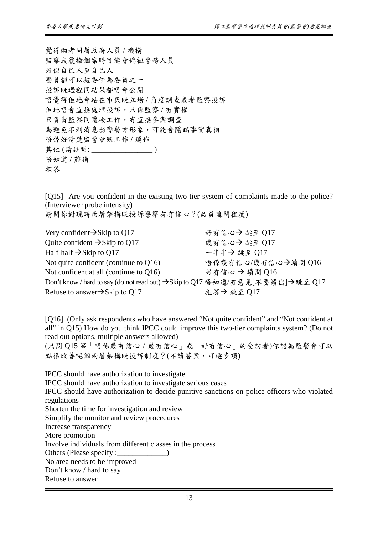覺得兩者同屬政府人員 / 機構 監察或覆檢個案時可能會偏袒警務人員 好似自己人查自己人 警員都可以被委任為委員之一 投訴既過程同結果都唔會公開 唔覺得佢地會站在市民既立場 / 角度調查或者監察投訴 佢地唔會直接處理投訴,只係監察 / 冇實權 只負責監察同覆檢工作,冇直接參與調查 為避免不利消息影響警方形象,可能會隱瞞事實真相 唔係好清楚監警會既工作 / 運作 其他 (請註明: \_\_\_\_\_\_\_\_\_\_\_\_\_\_\_\_ ) 唔知道 / 難講 拒答

[Q15] Are you confident in the existing two-tier system of complaints made to the police? (Interviewer probe intensity)

請問你對現時兩層架構既投訴警察有冇信心?(訪員追問程度)

Very confident→Skip to Q17 好有信心→跳至 Q17 Quite confident →Skip to Q17 <br> 幾有信心→ 跳至 Q17 Half-half  $\rightarrow$ Skip to Q17 – 牛羊 → 跳至 Q17 Not quite confident (continue to Q16) <br>唔係幾有信心/幾冇信心→續問 Q16 Not confident at all (continue to Q16) <br>
好冇信心 → 續問 Q16 Don't know / hard to say (do not read out) → Skip to Q17 唔知道/冇意見[不要讀出]→跳至 Q17 Refuse to answer→Skip to Q17  $\text{#}\$   $\frac{1}{2}$  # $\text{#}$   $\frac{1}{2}$   $\text{#}$   $\frac{1}{2}$ 

[Q16] (Only ask respondents who have answered "Not quite confident" and "Not confident at all" in Q15) How do you think IPCC could improve this two-tier complaints system? (Do not read out options, multiple answers allowed)

(只問 Q15 答「唔係幾有信心 / 幾冇信心」或「好冇信心」的受訪者)你認為監警會可以 點樣改善呢個兩層架構既投訴制度?(不讀答案,可選多項)

IPCC should have authorization to investigate IPCC should have authorization to investigate serious cases IPCC should have authorization to decide punitive sanctions on police officers who violated regulations Shorten the time for investigation and review Simplify the monitor and review procedures Increase transparency More promotion Involve individuals from different classes in the process Others (Please specify :\_\_\_\_\_\_\_\_\_\_\_\_\_\_) No area needs to be improved Don't know / hard to say Refuse to answer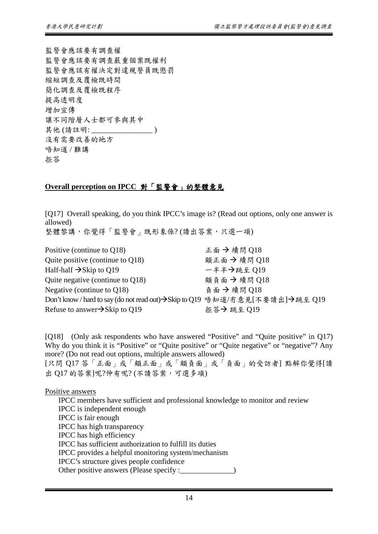監警會應該要有調查權 監警會應該要有調查嚴重個案既權利 監警會應該有權決定對違規警員既懲罰 縮短調查及覆檢既時間 簡化調查及覆檢既程序 提高透明度 增加宣傳 讓不同階層人士都可參與其中 其他 (請註明: \_\_\_\_\_\_\_\_\_\_\_\_\_\_\_\_ ) 沒有需要改善的地方 唔知道 / 難講 拒答

#### **Overall perception on IPCC** 對「監警會」的整體意見

[Q17] Overall speaking, do you think IPCC's image is? (Read out options, only one answer is allowed) 整體黎講,你覺得「監警會」既形象係?(讀出答案,只選一項)

Positive (continue to O18)  $\qquad$  正面 → 續問 O18 Quite positive (continue to Q18) <br>
頭正面 → 續問 Q18 Half-half →Skip to Q19 – – 半半→跳至 Q19 Quite negative (continue to Q18)  $\qquad \qquad \text{Mé} \oplus \text{Mé} \oplus \text{Mé} \oplus \text{Mé} \oplus \text{Mé} \oplus \text{Mé} \oplus \text{Mé} \oplus \text{Mé} \oplus \text{Mé} \oplus \text{Mé} \oplus \text{Mé} \oplus \text{Mé} \oplus \text{Mé} \oplus \text{Mé} \oplus \text{Mé} \oplus \text{Mé} \oplus \text{Mé} \oplus \text{Mé} \oplus \text{Mé} \oplus \text{Mé} \oplus$ Negative (continue to Q18) 負面 續問 Q18 Don't know / hard to say (do not read out)→Skip to Q19 唔知道/冇意見[不要讀出]→跳至 Q19 Refuse to answer $\rightarrow$ Skip to O19  $\qquad \qquad$  #  $\ddot{\text{\sf{x}}} \rightarrow \text{Im} \,\Omega$  9

[Q18] (Only ask respondents who have answered "Positive" and "Quite positive" in Q17) Why do you think it is "Positive" or "Quite positive" or "Quite negative" or "negative"? Any more? (Do not read out options, multiple answers allowed)

[只問 Q17 答「正面」或「頗正面」或「頗負面」或「負面」的受訪者] 點解你覺得[讀 出 Q17 的答案]呢?仲有呢? (不讀答案,可選多項)

Positive answers

IPCC members have sufficient and professional knowledge to monitor and review IPCC is independent enough IPCC is fair enough IPCC has high transparency IPCC has high efficiency IPCC has sufficient authorization to fulfill its duties IPCC provides a helpful monitoring system/mechanism IPCC's structure gives people confidence Other positive answers (Please specify :\_\_\_\_\_\_\_\_\_\_\_\_\_\_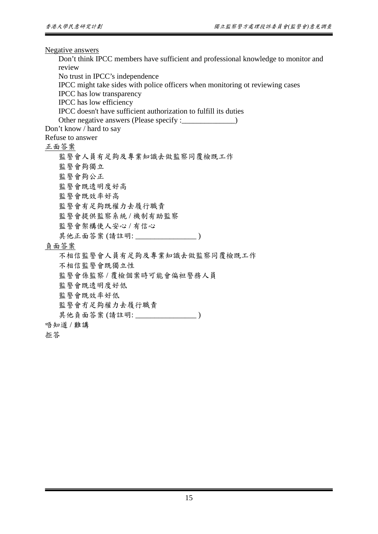Negative answers

Don't think IPCC members have sufficient and professional knowledge to monitor and review

No trust in IPCC's independence

IPCC might take sides with police officers when monitoring ot reviewing cases

IPCC has low transparency

IPCC has low efficiency

IPCC doesn't have sufficient authorization to fulfill its duties

Other negative answers (Please specify : \_\_\_\_\_\_\_\_\_\_\_\_\_\_)

Don't know / hard to say

Refuse to answer

正面答案

監警會人員有足夠及專業知識去做監察同覆檢既工作 監警會夠獨立 監警會夠公正 監警會既透明度好高 監警會既效率好高 監警會有足夠既權力去履行職責 監警會提供監察系統 / 機制有助監察 監警會架構使人安心 / 有信心 其他正面答案 (請註明: \_\_\_\_\_\_\_\_\_\_\_\_\_\_\_\_\_\_\_\_\_)

負面答案

不相信監警會人員有足夠及專業知識去做監察同覆檢既工作 不相信監警會既獨立性 監警會係監察 / 覆檢個案時可能會偏袒警務人員 監警會既透明度好低 監警會既效率好低 監警會冇足夠權力去履行職責 其他負面答案 (請註明: \_\_\_\_\_\_\_\_\_\_\_\_\_\_\_\_\_\_\_) 唔知道 / 難講

拒答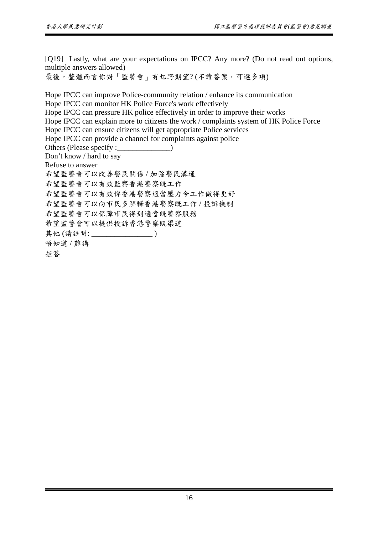[Q19] Lastly, what are your expectations on IPCC? Any more? (Do not read out options, multiple answers allowed)

最後,整體而言你對「監警會」有乜野期望? (不讀答案,可選多項)

Hope IPCC can improve Police-community relation / enhance its communication Hope IPCC can monitor HK Police Force's work effectively Hope IPCC can pressure HK police effectively in order to improve their works Hope IPCC can explain more to citizens the work / complaints system of HK Police Force Hope IPCC can ensure citizens will get appropriate Police services Hope IPCC can provide a channel for complaints against police Others (Please specify : \_\_\_\_\_\_\_\_\_\_\_\_\_\_\_\_\_\_) Don't know / hard to say Refuse to answer 希望監警會可以改善警民關係 / 加強警民溝通 希望監警會可以有效監察香港警察既工作 希望監警會可以有效俾香港警察適當壓力令工作做得更好 希望監警會可以向市民多解釋香港警察既工作 / 投訴機制 希望監警會可以保障市民得到適當既警察服務 希望監警會可以提供投訴香港警察既渠道 其他 (請註明: \_\_\_\_\_\_\_\_\_\_\_\_\_\_\_\_ ) 唔知道 / 難講 拒答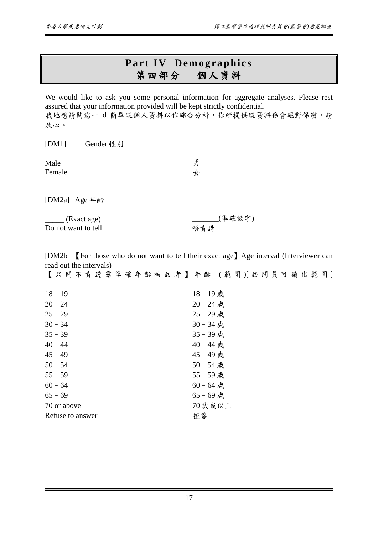## **Part IV Demographics**<br>第四部分 個人資料 第四部分

We would like to ask you some personal information for aggregate analyses. Please rest assured that your information provided will be kept strictly confidential. 我地想請問您一 d 簡單既個人資料以作綜合分析,你所提供既資料係會絕對保密,請 放心。

[DM1] Gender 性別 Male Female 男 女

[DM2a] Age 年齡

| (Exact age)         |  |
|---------------------|--|
| Do not want to tell |  |

[DM2b] 【For those who do not want to tell their exact age】Age interval (Interviewer can read out the intervals)

唔肯講

\_\_\_\_\_\_\_(準確數字)

|                  | 【只問不肯透露準確年齡被訪者】年齡 (範圍)[訪問員可讀出範圍] |
|------------------|----------------------------------|
| $18 - 19$        | 18-19歲                           |
| $20 - 24$        | $20 - 24$ 歲                      |
| $25 - 29$        | 25-29歲                           |
| $30 - 34$        | 30-34 歲                          |
| $35 - 39$        | 35-39歲                           |
| $40 - 44$        | $40 - 44$ 歲                      |
| $45 - 49$        | 45-49歲                           |
| $50 - 54$        | $50 - 54$ 歳                      |
| $55 - 59$        | 55-59歲                           |
| $60 - 64$        | $60 - 64$ 歲                      |
| $65 - 69$        | $65 - 69$ 歳                      |
| 70 or above      | 70 歲或以上                          |
| Refuse to answer | 拒答                               |
|                  |                                  |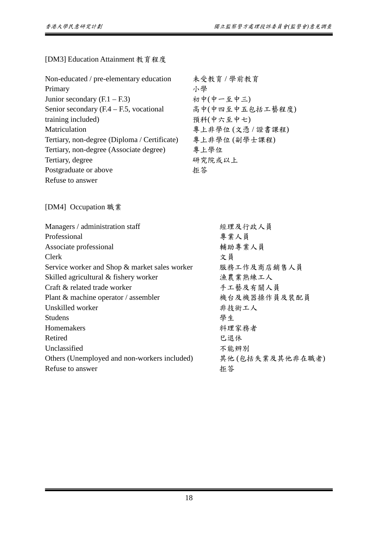[DM3] Education Attainment 教育程度

| Non-educated / pre-elementary education      | 未受教育 / 學前教育     |
|----------------------------------------------|-----------------|
| Primary                                      | 小學              |
| Junior secondary $(F.1 - F.3)$               | 初中(中一至中三)       |
| Senior secondary $(F.4 - F.5,$ vocational    | 高中(中四至中五包括工藝程度) |
| training included)                           | 預科(中六至中七)       |
| Matriculation                                | 專上非學位(文憑/證書課程)  |
| Tertiary, non-degree (Diploma / Certificate) | 專上非學位(副學士課程)    |
| Tertiary, non-degree (Associate degree)      | 專上學位            |
| Tertiary, degree                             | 研究院或以上          |
| Postgraduate or above                        | 拒答              |
| Refuse to answer                             |                 |

[DM4] Occupation 職業

| Managers / administration staff               | 經理及行政人員         |
|-----------------------------------------------|-----------------|
| Professional                                  | 專業人員            |
| Associate professional                        | 輔助專業人員          |
| Clerk                                         | 文員              |
| Service worker and Shop & market sales worker | 服務工作及商店銷售人員     |
| Skilled agricultural & fishery worker         | 漁農業熟練工人         |
| Craft & related trade worker                  | 手工藝及有關人員        |
| Plant & machine operator / assembler          | 機台及機器操作員及裝配員    |
| Unskilled worker                              | 非技術工人           |
| <b>Studens</b>                                | 學生              |
| Homemakers                                    | 料理家務者           |
| Retired                                       | 巳退休             |
| Unclassified                                  | 不能辨别            |
| Others (Unemployed and non-workers included)  | 其他(包括失業及其他非在職者) |
| Refuse to answer                              | 拒答              |
|                                               |                 |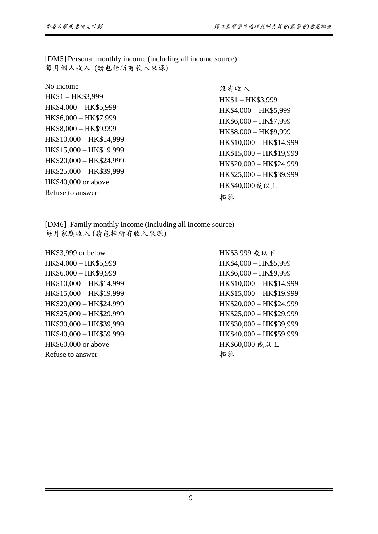[DM5] Personal monthly income (including all income source) 每月個人收入 (請包括所有收入來源)

No income HK\$1 – HK\$3,999 HK\$4,000 – HK\$5,999 HK\$6,000 – HK\$7,999 HK\$8,000 – HK\$9,999 HK\$10,000 – HK\$14,999 HK\$15,000 – HK\$19,999 HK\$20,000 – HK\$24,999 HK\$25,000 – HK\$39,999 HK\$40,000 or above Refuse to answer

沒有收入 HK\$1 – HK\$3,999 HK\$4,000 – HK\$5,999 HK\$6,000 – HK\$7,999 HK\$8,000 – HK\$9,999 HK\$10,000 – HK\$14,999 HK\$15,000 – HK\$19,999 HK\$20,000 – HK\$24,999 HK\$25,000 – HK\$39,999 HK\$40,000或以上 拒答

[DM6] Family monthly income (including all income source) 每月家庭收入 (請包括所有收入來源)

HK\$3,999 or below HK\$4,000 – HK\$5,999 HK\$6,000 – HK\$9,999 HK\$10,000 – HK\$14,999 HK\$15,000 – HK\$19,999 HK\$20,000 – HK\$24,999 HK\$25,000 – HK\$29,999 HK\$30,000 – HK\$39,999 HK\$40,000 – HK\$59,999 HK\$60,000 or above Refuse to answer

HK\$3,999 或以下 HK\$4,000 – HK\$5,999 HK\$6,000 – HK\$9,999 HK\$10,000 – HK\$14,999 HK\$15,000 – HK\$19,999 HK\$20,000 – HK\$24,999 HK\$25,000 – HK\$29,999 HK\$30,000 – HK\$39,999 HK\$40,000 – HK\$59,999 HK\$60,000 或以上 拒答